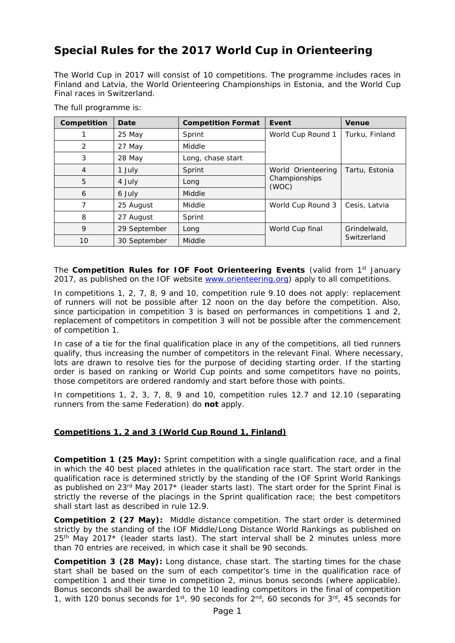# **Special Rules for the 2017 World Cup in Orienteering**

The World Cup in 2017 will consist of 10 competitions. The programme includes races in Finland and Latvia, the World Orienteering Championships in Estonia, and the World Cup Final races in Switzerland.

| Competition    | Date         | <b>Competition Format</b> | Event                                        | <b>Venue</b>   |
|----------------|--------------|---------------------------|----------------------------------------------|----------------|
|                | 25 May       | Sprint                    | World Cup Round 1                            | Turku, Finland |
| 2              | 27 May       | Middle                    |                                              |                |
| 3              | 28 May       | Long, chase start         |                                              |                |
| $\overline{4}$ | 1 July       | Sprint                    | World Orienteering<br>Championships<br>(WOC) | Tartu, Estonia |
| 5              | 4 July       | Long                      |                                              |                |
| 6              | 6 July       | Middle                    |                                              |                |
| 7              | 25 August    | Middle                    | World Cup Round 3                            | Cesis, Latvia  |
| 8              | 27 August    | Sprint                    |                                              |                |
| 9              | 29 September | Long                      | World Cup final                              | Grindelwald,   |
| 10             | 30 September | Middle                    |                                              | Switzerland    |

The full programme is:

The **Competition Rules for IOF Foot Orienteering Events** (valid from 1<sup>st</sup> January 2017, as published on the IOF website [www.orienteering.org\)](http://www.orienteering.org/) apply to all competitions.

In competitions 1, 2, 7, 8, 9 and 10, competition rule 9.10 does not apply: replacement of runners will not be possible after 12 noon on the day before the competition. Also, since participation in competition 3 is based on performances in competitions 1 and 2, replacement of competitors in competition 3 will not be possible after the commencement of competition 1.

In case of a tie for the final qualification place in any of the competitions, all tied runners qualify, thus increasing the number of competitors in the relevant Final. Where necessary, lots are drawn to resolve ties for the purpose of deciding starting order. If the starting order is based on ranking or World Cup points and some competitors have no points, those competitors are ordered randomly and start before those with points.

In competitions 1, 2, 3, 7, 8, 9 and 10, competition rules 12.7 and 12.10 (separating runners from the same Federation) do **not** apply.

# **Competitions 1, 2 and 3 (World Cup Round 1, Finland)**

**Competition 1 (25 May):** Sprint competition with a single qualification race, and a final in which the 40 best placed athletes in the qualification race start. The start order in the qualification race is determined strictly by the standing of the IOF Sprint World Rankings as published on  $23<sup>rd</sup>$  May  $2017*$  (leader starts last). The start order for the Sprint Final is strictly the reverse of the placings in the Sprint qualification race; the best competitors shall start last as described in rule 12.9.

**Competition 2 (27 May):** Middle distance competition. The start order is determined strictly by the standing of the IOF Middle/Long Distance World Rankings as published on 25<sup>th</sup> May 2017<sup>\*</sup> (leader starts last). The start interval shall be 2 minutes unless more than 70 entries are received, in which case it shall be 90 seconds.

**Competition 3 (28 May):** Long distance, chase start. The starting times for the chase start shall be based on the sum of each competitor's time in the qualification race of competition 1 and their time in competition 2, minus bonus seconds (where applicable). Bonus seconds shall be awarded to the 10 leading competitors in the final of competition 1, with 120 bonus seconds for  $1^{st}$ , 90 seconds for  $2^{nd}$ , 60 seconds for  $3^{rd}$ , 45 seconds for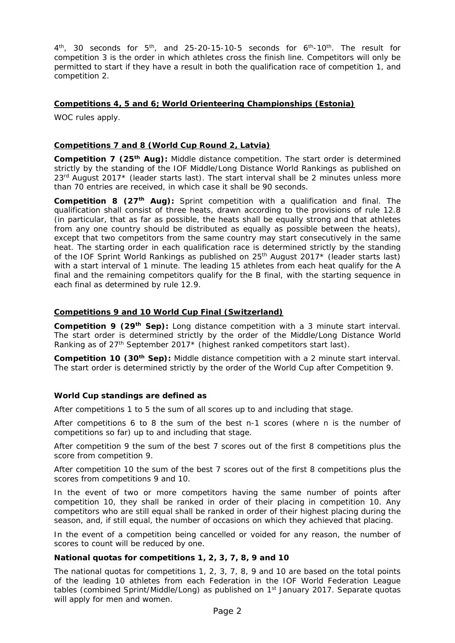$4<sup>th</sup>$ , 30 seconds for  $5<sup>th</sup>$ , and 25-20-15-10-5 seconds for  $6<sup>th</sup>$ -10<sup>th</sup>. The result for competition 3 is the order in which athletes cross the finish line. Competitors will only be permitted to start if they have a result in both the qualification race of competition 1, and competition 2.

## **Competitions 4, 5 and 6; World Orienteering Championships (Estonia)**

WOC rules apply.

## **Competitions 7 and 8 (World Cup Round 2, Latvia)**

**Competition 7 (25th Aug):** Middle distance competition. The start order is determined strictly by the standing of the IOF Middle/Long Distance World Rankings as published on  $23<sup>rd</sup>$  August 2017\* (leader starts last). The start interval shall be 2 minutes unless more than 70 entries are received, in which case it shall be 90 seconds.

**Competition 8 (27th Aug):** Sprint competition with a qualification and final. The qualification shall consist of three heats, drawn according to the provisions of rule 12.8 (in particular, that as far as possible, the heats shall be equally strong and that athletes from any one country should be distributed as equally as possible between the heats), except that two competitors from the same country may start consecutively in the same heat. The starting order in each qualification race is determined strictly by the standing of the IOF Sprint World Rankings as published on 25<sup>th</sup> August 2017<sup>\*</sup> (leader starts last) with a start interval of 1 minute. The leading 15 athletes from each heat qualify for the A final and the remaining competitors qualify for the B final, with the starting sequence in each final as determined by rule 12.9.

## **Competitions 9 and 10 World Cup Final (Switzerland)**

**Competition 9 (29th Sep):** Long distance competition with a 3 minute start interval. The start order is determined strictly by the order of the Middle/Long Distance World Ranking as of 27<sup>th</sup> September 2017<sup>\*</sup> (highest ranked competitors start last).

**Competition 10 (30th Sep):** Middle distance competition with a 2 minute start interval. The start order is determined strictly by the order of the World Cup after Competition 9.

## **World Cup standings are defined as**

After competitions 1 to 5 the sum of all scores up to and including that stage.

After competitions 6 to 8 the sum of the best n-1 scores (where n is the number of competitions so far) up to and including that stage.

After competition 9 the sum of the best 7 scores out of the first 8 competitions plus the score from competition 9.

After competition 10 the sum of the best 7 scores out of the first 8 competitions plus the scores from competitions 9 and 10.

In the event of two or more competitors having the same number of points after competition 10, they shall be ranked in order of their placing in competition 10. Any competitors who are still equal shall be ranked in order of their highest placing during the season, and, if still equal, the number of occasions on which they achieved that placing.

In the event of a competition being cancelled or voided for any reason, the number of scores to count will be reduced by one.

## **National quotas for competitions 1, 2, 3, 7, 8, 9 and 10**

The national quotas for competitions 1, 2, 3, 7, 8, 9 and 10 are based on the total points of the leading 10 athletes from each Federation in the IOF World Federation League tables (combined Sprint/Middle/Long) as published on 1<sup>st</sup> January 2017. Separate quotas will apply for men and women.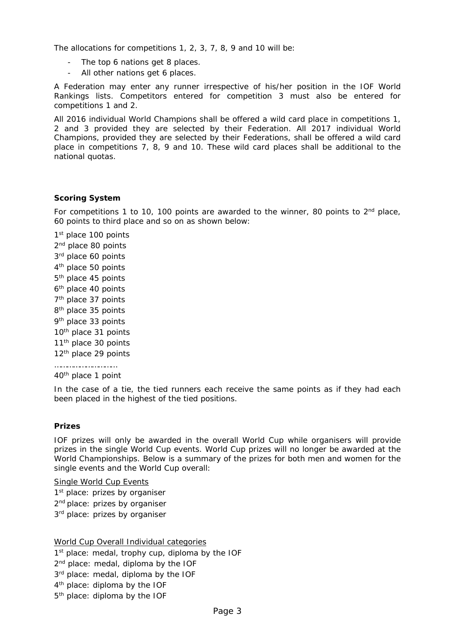The allocations for competitions 1, 2, 3, 7, 8, 9 and 10 will be:

- The top 6 nations get 8 places.
- All other nations get 6 places.

A Federation may enter any runner irrespective of his/her position in the IOF World Rankings lists. Competitors entered for competition 3 must also be entered for competitions 1 and 2.

All 2016 individual World Champions shall be offered a wild card place in competitions 1, 2 and 3 provided they are selected by their Federation. All 2017 individual World Champions, provided they are selected by their Federations, shall be offered a wild card place in competitions 7, 8, 9 and 10. These wild card places shall be additional to the national quotas.

#### **Scoring System**

For competitions 1 to 10, 100 points are awarded to the winner, 80 points to  $2<sup>nd</sup>$  place, 60 points to third place and so on as shown below:

1st place 100 points 2<sup>nd</sup> place 80 points 3rd place 60 points 4<sup>th</sup> place 50 points 5<sup>th</sup> place 45 points 6<sup>th</sup> place 40 points 7<sup>th</sup> place 37 points 8<sup>th</sup> place 35 points 9<sup>th</sup> place 33 points 10<sup>th</sup> place 31 points 11<sup>th</sup> place 30 points 12<sup>th</sup> place 29 points …………………………

40th place 1 point

In the case of a tie, the tied runners each receive the same points as if they had each been placed in the highest of the tied positions.

#### **Prizes**

IOF prizes will only be awarded in the overall World Cup while organisers will provide prizes in the single World Cup events. World Cup prizes will no longer be awarded at the World Championships. Below is a summary of the prizes for both men and women for the single events and the World Cup overall:

Single World Cup Events 1<sup>st</sup> place: prizes by organiser 2<sup>nd</sup> place: prizes by organiser

3<sup>rd</sup> place: prizes by organiser

World Cup Overall Individual categories 1<sup>st</sup> place: medal, trophy cup, diploma by the IOF 2<sup>nd</sup> place: medal, diploma by the IOF 3rd place: medal, diploma by the IOF 4<sup>th</sup> place: diploma by the IOF 5<sup>th</sup> place: diploma by the IOF